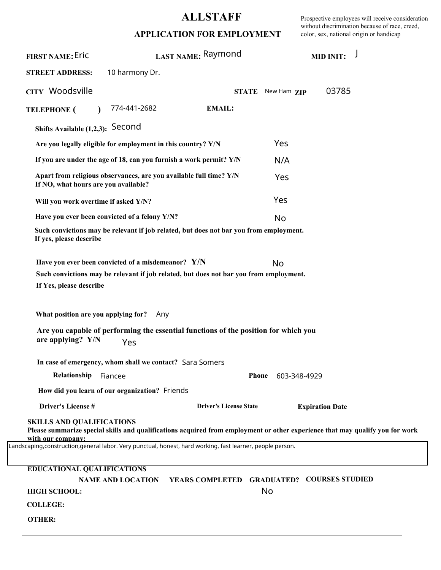## **ALLSTAFF**

Prospective employees will receive consideration without discrimination because of race, creed, color, sex, national origin or handicap

|  |  |  |  | APPLICATION FOR EMPLOYMENT |
|--|--|--|--|----------------------------|
|  |  |  |  |                            |

| <b>FIRST NAME: Eric</b>                                                                                   |                                                                    | LAST NAME: Raymond                                                                                                            |              | <b>MID INIT:</b>       |  |
|-----------------------------------------------------------------------------------------------------------|--------------------------------------------------------------------|-------------------------------------------------------------------------------------------------------------------------------|--------------|------------------------|--|
| <b>STREET ADDRESS:</b>                                                                                    | 10 harmony Dr.                                                     |                                                                                                                               |              |                        |  |
| CITY Woodsville                                                                                           |                                                                    | <b>STATE</b>                                                                                                                  | New Ham ZIP  | 03785                  |  |
| <b>TELEPHONE</b> (<br>$\lambda$                                                                           | 774-441-2682                                                       | <b>EMAIL:</b>                                                                                                                 |              |                        |  |
| Shifts Available (1,2,3): Second                                                                          |                                                                    |                                                                                                                               |              |                        |  |
|                                                                                                           | Are you legally eligible for employment in this country? Y/N       |                                                                                                                               | Yes          |                        |  |
|                                                                                                           | If you are under the age of 18, can you furnish a work permit? Y/N |                                                                                                                               | N/A          |                        |  |
| If NO, what hours are you available?                                                                      | Apart from religious observances, are you available full time? Y/N |                                                                                                                               | Yes          |                        |  |
| Will you work overtime if asked Y/N?                                                                      |                                                                    |                                                                                                                               | Yes          |                        |  |
|                                                                                                           | Have you ever been convicted of a felony Y/N?                      |                                                                                                                               | No           |                        |  |
| If yes, please describe                                                                                   |                                                                    | Such convictions may be relevant if job related, but does not bar you from employment.                                        |              |                        |  |
| If Yes, please describe<br>What position are you applying for?                                            | Have you ever been convicted of a misdemeanor? Y/N<br>Any          | Such convictions may be relevant if job related, but does not bar you from employment.                                        | No           |                        |  |
| are applying? Y/N                                                                                         | Yes                                                                | Are you capable of performing the essential functions of the position for which you                                           |              |                        |  |
|                                                                                                           | In case of emergency, whom shall we contact? Sara Somers           |                                                                                                                               |              |                        |  |
| Relationship                                                                                              | Fiancee                                                            | <b>Phone</b>                                                                                                                  | 603-348-4929 |                        |  |
|                                                                                                           | How did you learn of our organization? Friends                     |                                                                                                                               |              |                        |  |
| Driver's License #                                                                                        |                                                                    | <b>Driver's License State</b>                                                                                                 |              | <b>Expiration Date</b> |  |
| <b>SKILLS AND QUALIFICATIONS</b><br>with our company:                                                     |                                                                    | Please summarize special skills and qualifications acquired from employment or other experience that may qualify you for work |              |                        |  |
| Landscaping,construction,general labor. Very punctual, honest, hard working, fast learner, people person. |                                                                    |                                                                                                                               |              |                        |  |
| <b>EDUCATIONAL QUALIFICATIONS</b>                                                                         |                                                                    |                                                                                                                               |              |                        |  |
|                                                                                                           | <b>NAME AND LOCATION</b>                                           | YEARS COMPLETED GRADUATED? COURSES STUDIED                                                                                    |              |                        |  |
| <b>HIGH SCHOOL:</b>                                                                                       |                                                                    |                                                                                                                               | No           |                        |  |
| <b>COLLEGE:</b>                                                                                           |                                                                    |                                                                                                                               |              |                        |  |
| <b>OTHER:</b>                                                                                             |                                                                    |                                                                                                                               |              |                        |  |
|                                                                                                           |                                                                    |                                                                                                                               |              |                        |  |